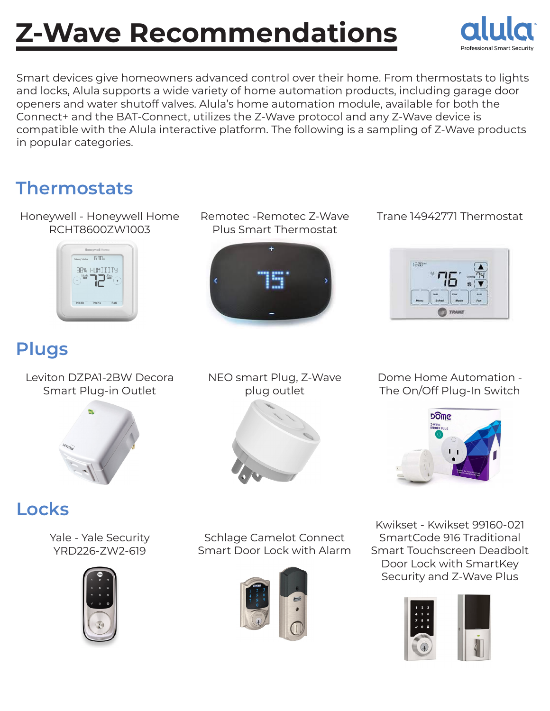# **Z-Wave Recommendations**



Smart devices give homeowners advanced control over their home. From thermostats to lights and locks, Alula supports a wide variety of home automation products, including garage door openers and water shutoff valves. Alula's home automation module, available for both the Connect+ and the BAT-Connect, utilizes the Z-Wave protocol and any Z-Wave device is compatible with the Alula interactive platform. The following is a sampling of Z-Wave products in popular categories.

> Remotec -Remotec Z-Wave Plus Smart Thermostat

### **Thermostats**

Honeywell - Honeywell Home RCHT8600ZW1003



# **Plugs**

Leviton DZPA1-2BW Decora Smart Plug-in Outlet



NEO smart Plug, Z-Wave plug outlet



Dome Home Automation - The On/Off Plug-In Switch

Trane 14942771 Thermostat



# **Locks**

Yale - Yale Security YRD226-ZW2-619



Schlage Camelot Connect Smart Door Lock with Alarm



Kwikset - Kwikset 99160-021 SmartCode 916 Traditional Smart Touchscreen Deadbolt Door Lock with SmartKey Security and Z-Wave Plus